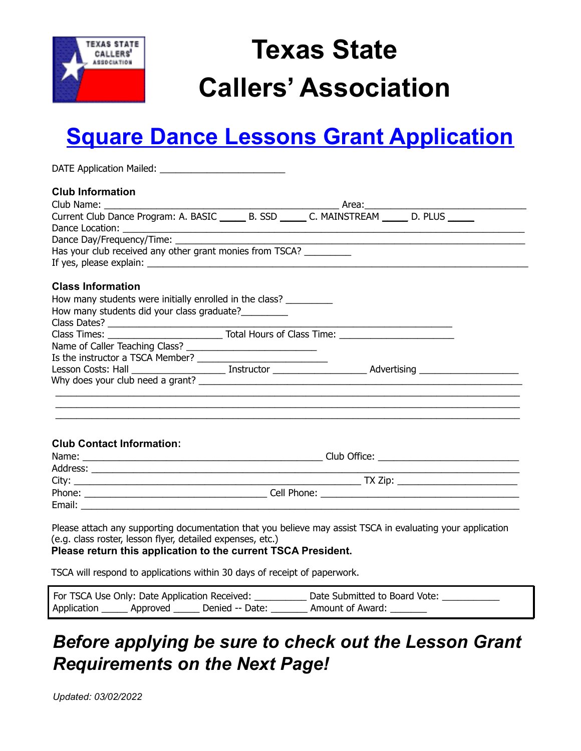

# **Texas State Callers' Association**

## **Square Dance Lessons Grant Application**

| Has your club received any other grant monies from TSCA?            |  |  |
|---------------------------------------------------------------------|--|--|
|                                                                     |  |  |
|                                                                     |  |  |
| How many students were initially enrolled in the class? ___________ |  |  |
|                                                                     |  |  |
|                                                                     |  |  |
|                                                                     |  |  |
|                                                                     |  |  |
|                                                                     |  |  |
|                                                                     |  |  |
|                                                                     |  |  |
|                                                                     |  |  |
|                                                                     |  |  |
|                                                                     |  |  |
|                                                                     |  |  |
|                                                                     |  |  |
|                                                                     |  |  |
|                                                                     |  |  |
|                                                                     |  |  |
|                                                                     |  |  |
|                                                                     |  |  |

TSCA will respond to applications within 30 days of receipt of paperwork.

| For TSCA Use Only: Date Application Received: |                 | Date Submitted to Board Vote: |
|-----------------------------------------------|-----------------|-------------------------------|
| Application _______ Approved                  | Denied -- Date: | Amount of Award:              |

#### *Before applying be sure to check out the Lesson Grant Requirements on the Next Page!*

*Updated: 03/02/2022*